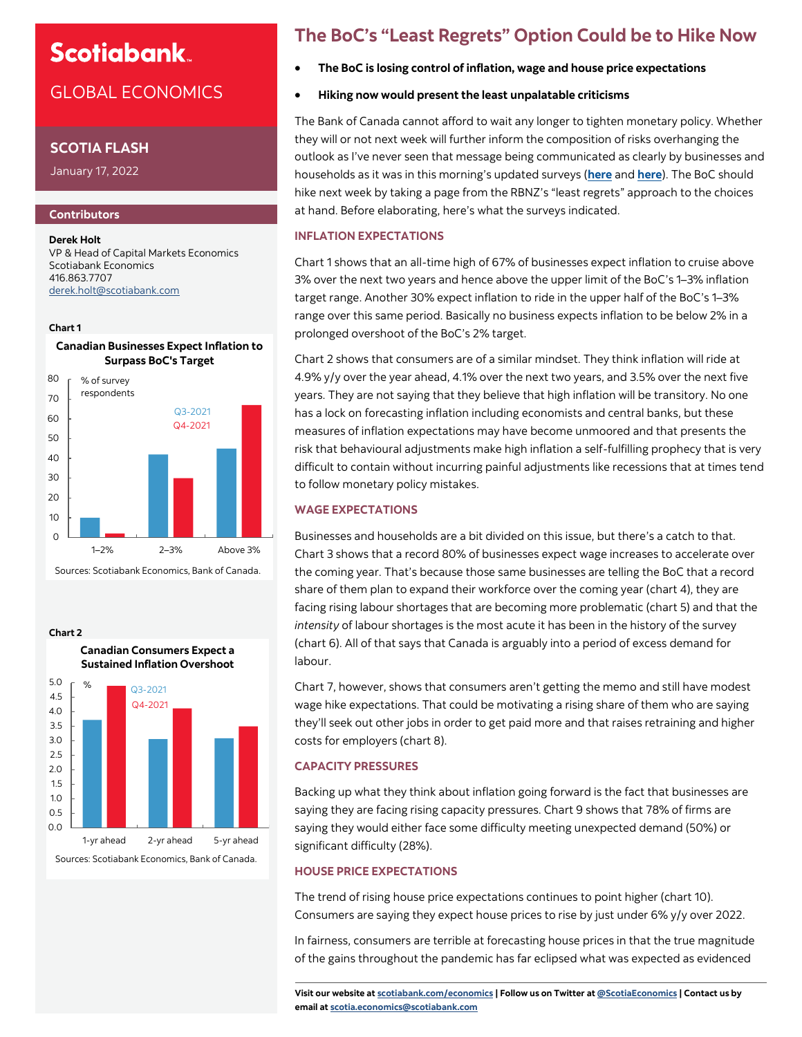# **Scotiabank**

## GLOBAL ECONOMICS

### **SCOTIA FLASH**

January 17, 2022

### **Contributors**

**Derek Holt** VP & Head of Capital Markets Economics Scotiabank Economics 416.863.7707 [derek.holt@scotiabank.com](mailto:derek.holt@scotiabank.com)

#### **Chart 1**

**Chart 2**

**Canadian Businesses Expect Inflation to Surpass BoC's Target**



Sources: Scotiabank Economics, Bank of Canada.



### **The BoC's "Least Regrets" Option Could be to Hike Now**

- **The BoC is losing control of inflation, wage and house price expectations**
- **Hiking now would present the least unpalatable criticisms**

The Bank of Canada cannot afford to wait any longer to tighten monetary policy. Whether they will or not next week will further inform the composition of risks overhanging the outlook as I've never seen that message being communicated as clearly by businesses and households as it was in this morning's updated surveys (**[here](https://www.bankofcanada.ca/publications/bos/business-outlook-survey-data/)** and **[here](https://www.bankofcanada.ca/publications/canadian-survey-of-consumer-expectations/canadian-survey-of-consumer-expectations-survey-data/)**). The BoC should hike next week by taking a page from the RBNZ's "least regrets" approach to the choices at hand. Before elaborating, here's what the surveys indicated.

#### **INFLATION EXPECTATIONS**

Chart 1 shows that an all-time high of 67% of businesses expect inflation to cruise above 3% over the next two years and hence above the upper limit of the BoC's 1–3% inflation target range. Another 30% expect inflation to ride in the upper half of the BoC's 1–3% range over this same period. Basically no business expects inflation to be below 2% in a prolonged overshoot of the BoC's 2% target.

Chart 2 shows that consumers are of a similar mindset. They think inflation will ride at 4.9% y/y over the year ahead, 4.1% over the next two years, and 3.5% over the next five years. They are not saying that they believe that high inflation will be transitory. No one has a lock on forecasting inflation including economists and central banks, but these measures of inflation expectations may have become unmoored and that presents the risk that behavioural adjustments make high inflation a self-fulfilling prophecy that is very difficult to contain without incurring painful adjustments like recessions that at times tend to follow monetary policy mistakes.

#### **WAGE EXPECTATIONS**

Businesses and households are a bit divided on this issue, but there's a catch to that. Chart 3 shows that a record 80% of businesses expect wage increases to accelerate over the coming year. That's because those same businesses are telling the BoC that a record share of them plan to expand their workforce over the coming year (chart 4), they are facing rising labour shortages that are becoming more problematic (chart 5) and that the *intensity* of labour shortages is the most acute it has been in the history of the survey (chart 6). All of that says that Canada is arguably into a period of excess demand for labour.

Chart 7, however, shows that consumers aren't getting the memo and still have modest wage hike expectations. That could be motivating a rising share of them who are saying they'll seek out other jobs in order to get paid more and that raises retraining and higher costs for employers (chart 8).

#### **CAPACITY PRESSURES**

Backing up what they think about inflation going forward is the fact that businesses are saying they are facing rising capacity pressures. Chart 9 shows that 78% of firms are saying they would either face some difficulty meeting unexpected demand (50%) or significant difficulty (28%).

#### **HOUSE PRICE EXPECTATIONS**

The trend of rising house price expectations continues to point higher (chart 10). Consumers are saying they expect house prices to rise by just under 6% y/y over 2022.

In fairness, consumers are terrible at forecasting house prices in that the true magnitude of the gains throughout the pandemic has far eclipsed what was expected as evidenced

**Visit our website at [scotiabank.com/economics](https://www.scotiabank.com/ca/en/about/global-economics/economics-publications.html) | Follow us on Twitter at [@ScotiaEconomics](https://twitter.com/ScotiaEconomics) | Contact us by email at scotia.economics@scotiabank.com**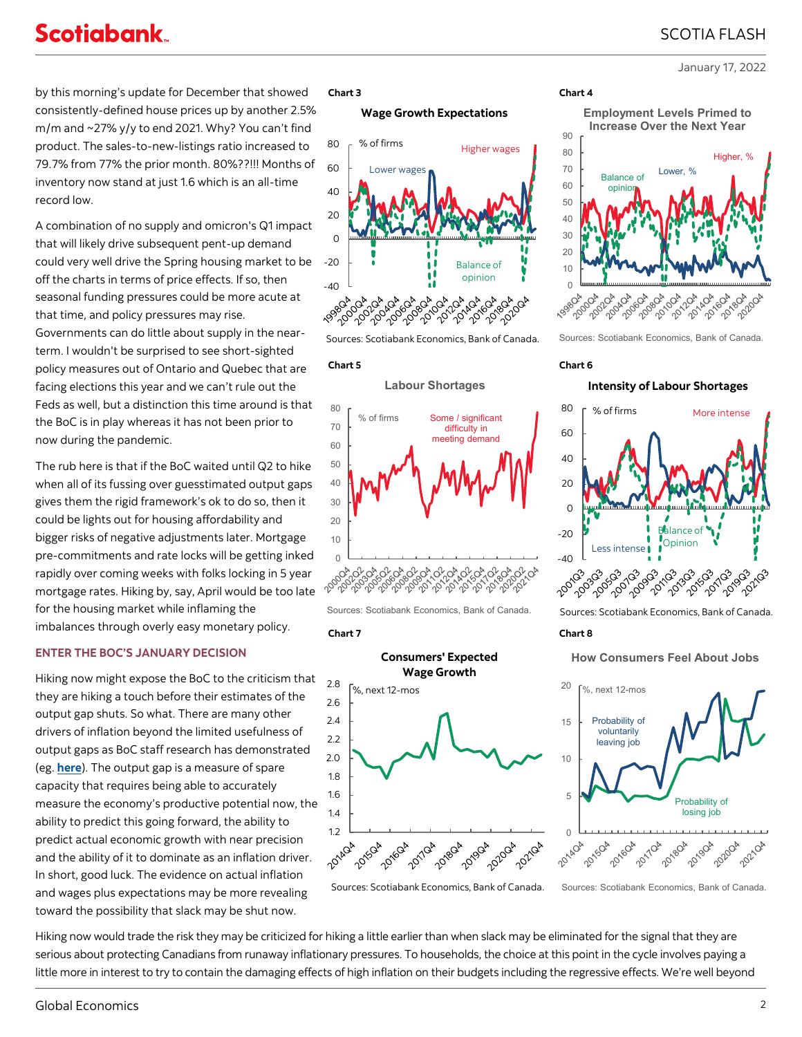January 17, 2022

by this morning's update for December that showed consistently-defined house prices up by another 2.5% m/m and ~27% y/y to end 2021. Why? You can't find product. The sales-to-new-listings ratio increased to 79.7% from 77% the prior month. 80%??!!! Months of inventory now stand at just 1.6 which is an all-time record low.

A combination of no supply and omicron's Q1 impact that will likely drive subsequent pent-up demand could very well drive the Spring housing market to be off the charts in terms of price effects. If so, then seasonal funding pressures could be more acute at that time, and policy pressures may rise. Governments can do little about supply in the nearterm. I wouldn't be surprised to see short-sighted policy measures out of Ontario and Quebec that are facing elections this year and we can't rule out the Feds as well, but a distinction this time around is that the BoC is in play whereas it has not been prior to now during the pandemic.

The rub here is that if the BoC waited until Q2 to hike when all of its fussing over guesstimated output gaps gives them the rigid framework's ok to do so, then it could be lights out for housing affordability and bigger risks of negative adjustments later. Mortgage pre-commitments and rate locks will be getting inked rapidly over coming weeks with folks locking in 5 year mortgage rates. Hiking by, say, April would be too late for the housing market while inflaming the imbalances through overly easy monetary policy.

#### **ENTER THE BOC'S JANUARY DECISION**

Hiking now might expose the BoC to the criticism that they are hiking a touch before their estimates of the output gap shuts. So what. There are many other drivers of inflation beyond the limited usefulness of output gaps as BoC staff research has demonstrated (eg. **[here](https://www.bankofcanada.ca/2018/03/staff-working-paper-2018-10/)**). The output gap is a measure of spare capacity that requires being able to accurately measure the economy's productive potential now, the ability to predict this going forward, the ability to predict actual economic growth with near precision and the ability of it to dominate as an inflation driver. In short, good luck. The evidence on actual inflation and wages plus expectations may be more revealing toward the possibility that slack may be shut now.

#### **Chart 3 Chart 4**

#### **Wage Growth Expectations**







Sources: Scotiabank Economics, Bank of Canada.



1.4 1.6 1.8 2.0 2.2 2.4 2.6 2.8



Sources: Scotiabank Economics, Bank of Canada.

Probability of losing job

Hiking now would trade the risk they may be criticized for hiking a little earlier than when slack may be eliminated for the signal that they are serious about protecting Canadians from runaway inflationary pressures. To households, the choice at this point in the cycle involves paying a little more in interest to try to contain the damaging effects of high inflation on their budgets including the regressive effects. We're well beyond

#### **Increase Over the Next Year** 90 80 Higher, % 70 Lower, % Balance of  $60$ opinio 50 40 30 20 10 0 204104 2009-2009 **004-004** 804,004,00 **004.204** 204,404 2021-2021 ADA 2014 2018-202 204104

**Employment Levels Primed to** 

Sources: Scotiabank Economics, Bank of Canada.

#### **Chart 5 Chart 6**

#### **Intensity of Labour Shortages**



Sources: Scotiabank Economics, Bank of Canada.

#### **Chart 7 Chart 8**

**How Consumers Feel About Jobs**

2021QA

Sources: Scotiabank Economics, Bank of Canada.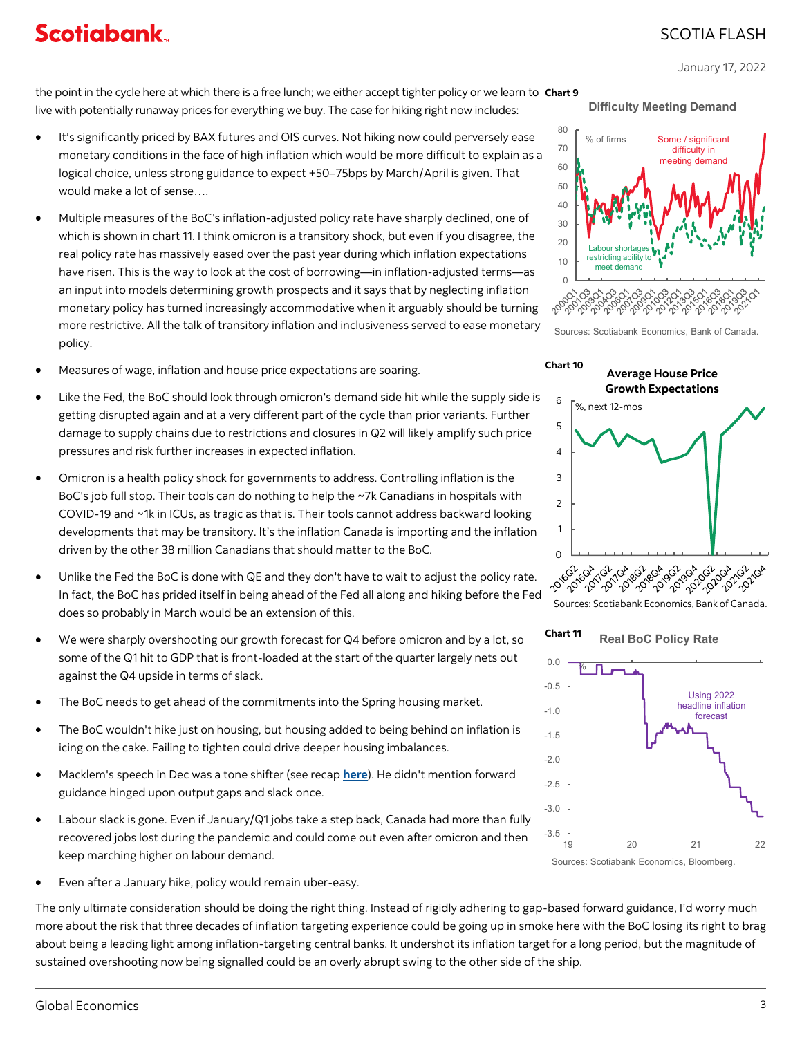### SCOTIA FLASH

January 17, 2022

the point in the cycle here at which there is a free lunch; we either accept tighter policy or we learn to **Chart 9** live with potentially runaway prices for everything we buy. The case for hiking right now includes:

- It's significantly priced by BAX futures and OIS curves. Not hiking now could perversely ease monetary conditions in the face of high inflation which would be more difficult to explain as a logical choice, unless strong guidance to expect +50–75bps by March/April is given. That would make a lot of sense….
- Multiple measures of the BoC's inflation-adjusted policy rate have sharply declined, one of which is shown in chart 11. I think omicron is a transitory shock, but even if you disagree, the real policy rate has massively eased over the past year during which inflation expectations have risen. This is the way to look at the cost of borrowing—in inflation-adjusted terms—as an input into models determining growth prospects and it says that by neglecting inflation monetary policy has turned increasingly accommodative when it arguably should be turning more restrictive. All the talk of transitory inflation and inclusiveness served to ease monetary policy.
- Measures of wage, inflation and house price expectations are soaring.
- Like the Fed, the BoC should look through omicron's demand side hit while the supply side is getting disrupted again and at a very different part of the cycle than prior variants. Further damage to supply chains due to restrictions and closures in Q2 will likely amplify such price pressures and risk further increases in expected inflation.
- Omicron is a health policy shock for governments to address. Controlling inflation is the BoC's job full stop. Their tools can do nothing to help the ~7k Canadians in hospitals with COVID-19 and ~1k in ICUs, as tragic as that is. Their tools cannot address backward looking developments that may be transitory. It's the inflation Canada is importing and the inflation driven by the other 38 million Canadians that should matter to the BoC.
- Unlike the Fed the BoC is done with QE and they don't have to wait to adjust the policy rate. In fact, the BoC has prided itself in being ahead of the Fed all along and hiking before the Fed does so probably in March would be an extension of this.
- We were sharply overshooting our growth forecast for Q4 before omicron and by a lot, so some of the Q1 hit to GDP that is front-loaded at the start of the quarter largely nets out against the Q4 upside in terms of slack.
- The BoC needs to get ahead of the commitments into the Spring housing market.
- The BoC wouldn't hike just on housing, but housing added to being behind on inflation is icing on the cake. Failing to tighten could drive deeper housing imbalances.
- Macklem's speech in Dec was a tone shifter (see recap **[here](https://www.scotiabank.com/content/dam/scotiabank/sub-brands/scotiabank-economics/english/documents/scotia-flash/scotiaflash20211215A.pdf)**). He didn't mention forward guidance hinged upon output gaps and slack once.
- Labour slack is gone. Even if January/Q1 jobs take a step back, Canada had more than fully recovered jobs lost during the pandemic and could come out even after omicron and then keep marching higher on labour demand.
- Even after a January hike, policy would remain uber-easy.

The only ultimate consideration should be doing the right thing. Instead of rigidly adhering to gap-based forward guidance, I'd worry much more about the risk that three decades of inflation targeting experience could be going up in smoke here with the BoC losing its right to brag about being a leading light among inflation-targeting central banks. It undershot its inflation target for a long period, but the magnitude of sustained overshooting now being signalled could be an overly abrupt swing to the other side of the ship.



Sources: Scotiabank Economics, Bank of Canada.



**Real BoC Policy Rate Chart 11**